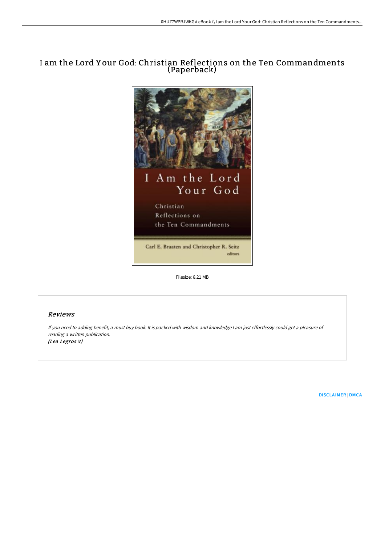# I am the Lord Y our God: Christian Reflections on the Ten Commandments (Paperback)



Filesize: 8.21 MB

## Reviews

If you need to adding benefit, <sup>a</sup> must buy book. It is packed with wisdom and knowledge <sup>I</sup> am just effortlessly could get <sup>a</sup> pleasure of reading <sup>a</sup> written publication. (Lea Legros V)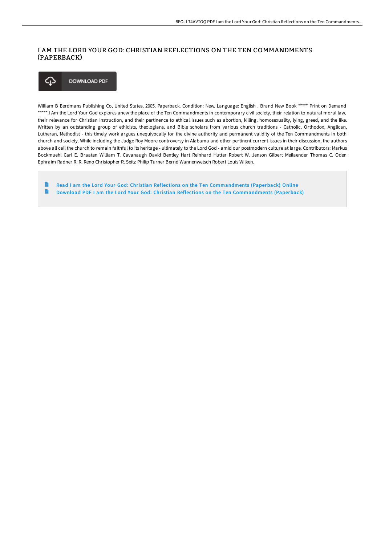## I AM THE LORD YOUR GOD: CHRISTIAN REFLECTIONS ON THE TEN COMMANDMENTS (PAPERBACK)



William B Eerdmans Publishing Co, United States, 2005. Paperback. Condition: New. Language: English . Brand New Book \*\*\*\*\* Print on Demand \*\*\*\*\*.I Am the Lord Your God explores anew the place of the Ten Commandments in contemporary civil society, their relation to natural moral law, their relevance for Christian instruction, and their pertinence to ethical issues such as abortion, killing, homosexuality, lying, greed, and the like. Written by an outstanding group of ethicists, theologians, and Bible scholars from various church traditions - Catholic, Orthodox, Anglican, Lutheran, Methodist - this timely work argues unequivocally for the divine authority and permanent validity of the Ten Commandments in both church and society. While including the Judge Roy Moore controversy in Alabama and other pertinent current issues in their discussion, the authors above all call the church to remain faithful to its heritage - ultimately to the Lord God - amid our postmodern culture at large. Contributors: Markus Bockmuehl Carl E. Braaten William T. Cavanaugh David Bentley Hart Reinhard Hutter Robert W. Jenson Gilbert Meilaender Thomas C. Oden Ephraim Radner R. R. Reno Christopher R. Seitz Philip Turner Bernd Wannenwetsch Robert Louis Wilken.

B Read I am the Lord Your God: Christian Reflections on the Ten [Commandments](http://digilib.live/i-am-the-lord-your-god-christian-reflections-on-.html) (Paperback) Online  $\rightarrow$ Download PDF I am the Lord Your God: Christian Reflections on the Ten [Commandments](http://digilib.live/i-am-the-lord-your-god-christian-reflections-on-.html) (Paperback)